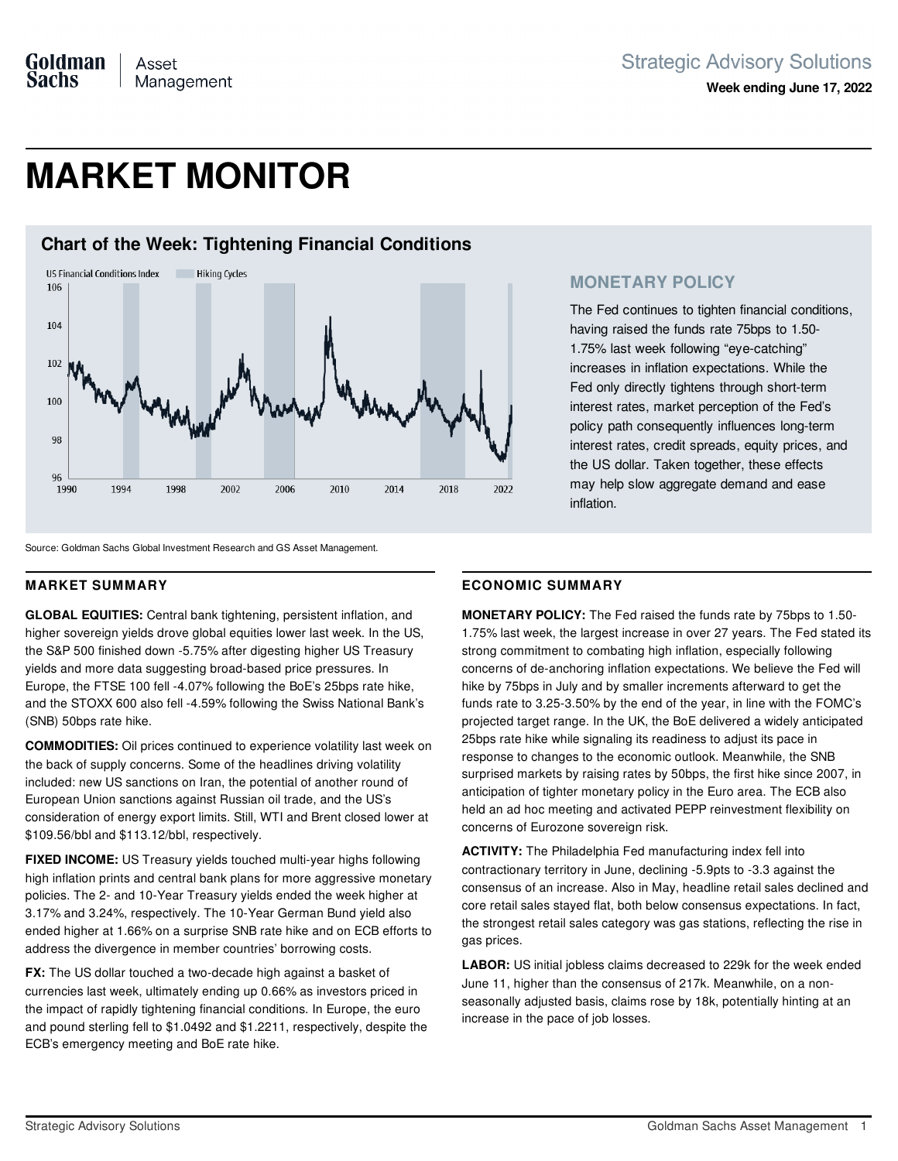# **MARKET MONITOR**



### **MONETARY POLICY**

The Fed continues to tighten financial conditions, having raised the funds rate 75bps to 1.50- 1.75% last week following "eye-catching" increases in inflation expectations. While the Fed only directly tightens through short-term interest rates, market perception of the Fed's policy path consequently influences long-term interest rates, credit spreads, equity prices, and the US dollar. Taken together, these effects may help slow aggregate demand and ease inflation.

Source: Goldman Sachs Global Investment Research and GS Asset Management.

### **MARKET SUMMARY**

**GLOBAL EQUITIES:** Central bank tightening, persistent inflation, and higher sovereign yields drove global equities lower last week. In the US, the S&P 500 finished down -5.75% after digesting higher US Treasury yields and more data suggesting broad-based price pressures. In Europe, the FTSE 100 fell -4.07% following the BoE's 25bps rate hike, and the STOXX 600 also fell -4.59% following the Swiss National Bank's (SNB) 50bps rate hike.

**COMMODITIES:** Oil prices continued to experience volatility last week on the back of supply concerns. Some of the headlines driving volatility included: new US sanctions on Iran, the potential of another round of European Union sanctions against Russian oil trade, and the US's consideration of energy export limits. Still, WTI and Brent closed lower at \$109.56/bbl and \$113.12/bbl, respectively.

**FIXED INCOME:** US Treasury yields touched multi-year highs following high inflation prints and central bank plans for more aggressive monetary policies. The 2- and 10-Year Treasury yields ended the week higher at 3.17% and 3.24%, respectively. The 10-Year German Bund yield also ended higher at 1.66% on a surprise SNB rate hike and on ECB efforts to address the divergence in member countries' borrowing costs.

**FX:** The US dollar touched a two-decade high against a basket of currencies last week, ultimately ending up 0.66% as investors priced in the impact of rapidly tightening financial conditions. In Europe, the euro and pound sterling fell to \$1.0492 and \$1.2211, respectively, despite the ECB's emergency meeting and BoE rate hike.

### **ECONOMIC SUMMARY**

**MONETARY POLICY:** The Fed raised the funds rate by 75bps to 1.50- 1.75% last week, the largest increase in over 27 years. The Fed stated its strong commitment to combating high inflation, especially following concerns of de-anchoring inflation expectations. We believe the Fed will hike by 75bps in July and by smaller increments afterward to get the funds rate to 3.25-3.50% by the end of the year, in line with the FOMC's projected target range. In the UK, the BoE delivered a widely anticipated 25bps rate hike while signaling its readiness to adjust its pace in response to changes to the economic outlook. Meanwhile, the SNB surprised markets by raising rates by 50bps, the first hike since 2007, in anticipation of tighter monetary policy in the Euro area. The ECB also held an ad hoc meeting and activated PEPP reinvestment flexibility on concerns of Eurozone sovereign risk.

**ACTIVITY:** The Philadelphia Fed manufacturing index fell into contractionary territory in June, declining -5.9pts to -3.3 against the consensus of an increase. Also in May, headline retail sales declined and core retail sales stayed flat, both below consensus expectations. In fact, the strongest retail sales category was gas stations, reflecting the rise in gas prices.

**LABOR:** US initial jobless claims decreased to 229k for the week ended June 11, higher than the consensus of 217k. Meanwhile, on a nonseasonally adjusted basis, claims rose by 18k, potentially hinting at an increase in the pace of job losses.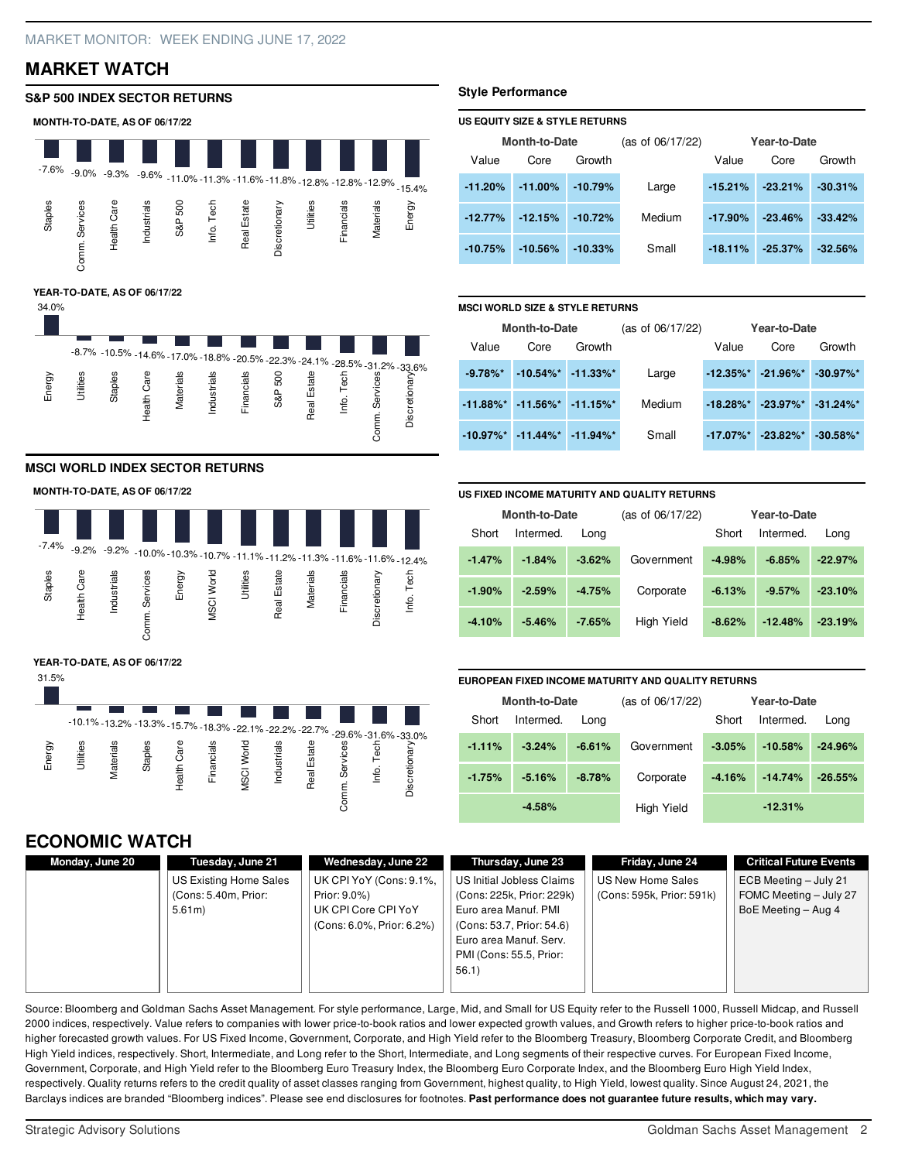### **MARKET WATCH**

### **S&P 500 INDEX SECTOR RETURNS**



### **MSCI WORLD INDEX SECTOR RETURNS**

#### **MONTH-TO-DATE, AS OF 06/17/22**



#### **YEAR-TO-DATE, AS OF 06/17/22**



### **ECONOMIC WATCH**

#### **Monday, June 20 Tuesday, June 21** US Existing Home Sales (Cons: 5.40m, Prior: 5.61m) **Wednesday, June 22** UK CPI YoY (Cons: 9.1%, Prior: 9.0%) UK CPI Core CPI YoY (Cons: 6.0%, Prior: 6.2%) **Thursday, June 23** US Initial Jobless Claims (Cons: 225k, Prior: 229k) Euro area Manuf. PMI (Cons: 53.7, Prior: 54.6) Euro area Manuf. Serv. PMI (Cons: 55.5, Prior: 56.1) **Friday, June 24** US New Home Sales (Cons: 595k, Prior: 591k) **Critical Future Events** ECB Meeting – July 21 FOMC Meeting – July 27 BoE Meeting – Aug 4

Source: Bloomberg and Goldman Sachs Asset Management. For style performance, Large, Mid, and Small for US Equity refer to the Russell 1000, Russell Midcap, and Russell 2000 indices, respectively. Value refers to companies with lower price-to-book ratios and lower expected growth values, and Growth refers to higher price-to-book ratios and higher forecasted growth values. For US Fixed Income, Government, Corporate, and High Yield refer to the Bloomberg Treasury, Bloomberg Corporate Credit, and Bloomberg High Yield indices, respectively. Short, Intermediate, and Long refer to the Short, Intermediate, and Long segments of their respective curves. For European Fixed Income, Government, Corporate, and High Yield refer to the Bloomberg Euro Treasury Index, the Bloomberg Euro Corporate Index, and the Bloomberg Euro High Yield Index, respectively. Quality returns refers to the credit quality of asset classes ranging from Government, highest quality, to High Yield, lowest quality. Since August 24, 2021, the Barclays indices are branded "Bloomberg indices". Please see end disclosures for footnotes. Past performance does not guarantee future results, which may vary.

### **Style Performance**

### **US EQUITY SIZE & STYLE RETURNS**

| <b>Month-to-Date</b> |            | (as of 06/17/22) | Year-to-Date |            |           |           |
|----------------------|------------|------------------|--------------|------------|-----------|-----------|
| Value                | Core       | Growth           |              | Value      | Core      | Growth    |
| $-11.20%$            | $-11.00\%$ | $-10.79%$        | Large        | $-15.21%$  | $-23.21%$ | $-30.31%$ |
| $-12.77%$            | $-12.15%$  | $-10.72\%$       | Medium       | $-17.90\%$ | $-23.46%$ | $-33.42%$ |
| $-10.75%$            | $-10.56\%$ | $-10.33\%$       | Small        | $-18.11%$  | $-25.37%$ | $-32.56%$ |

#### **MSCI WORLD SIZE & STYLE RETURNS**

| <b>Month-to-Date</b>   |                           | (as of 06/17/22) |        | Year-to-Date |              |              |
|------------------------|---------------------------|------------------|--------|--------------|--------------|--------------|
| Value                  | Core                      | Growth           |        | Value        | Core         | Growth       |
| $-9.78\%$ <sup>*</sup> | $-10.54\%$ * $-11.33\%$ * |                  | Large  | $-12.35\%$ * | $-21.96\%$ * | $-30.97\%$ * |
| $-11.88\%$ *           | $-11.56\%$ * $-11.15\%$ * |                  | Medium | $-18.28\%$ * | $-23.97\%$ * | $-31.24\%$ * |
| $-10.97\%$ *           | $-11.44\%$ *              | $-11.94\%$ *     | Small  | $-17.07\%$ * | $-23.82\%$ * | $-30.58\%$ * |

#### **US FIXED INCOME MATURITY AND QUALITY RETURNS**

| <b>Month-to-Date</b> |           | (as of 06/17/22) |            | Year-to-Date |           |           |
|----------------------|-----------|------------------|------------|--------------|-----------|-----------|
| Short                | Intermed. | Long             |            | Short        | Intermed. | Lona      |
| $-1.47%$             | $-1.84%$  | $-3.62%$         | Government | $-4.98%$     | $-6.85%$  | $-22.97%$ |
| $-1.90%$             | $-2.59%$  | $-4.75%$         | Corporate  | $-6.13%$     | $-9.57%$  | $-23.10%$ |
| $-4.10%$             | $-5.46%$  | $-7.65%$         | High Yield | $-8.62%$     | $-12.48%$ | $-23.19%$ |

#### **EUROPEAN FIXED INCOME MATURITY AND QUALITY RETURNS**

| <b>Month-to-Date</b> |           | (as of $06/17/22$ ) | Year-to-Date |          |           |           |
|----------------------|-----------|---------------------|--------------|----------|-----------|-----------|
| Short                | Intermed. | Lona                |              | Short    | Intermed. | Lona      |
| $-1.11%$             | $-3.24%$  | $-6.61%$            | Government   | $-3.05%$ | $-10.58%$ | $-24.96%$ |
| $-1.75%$             | $-5.16%$  | $-8.78%$            | Corporate    | $-4.16%$ | $-14.74%$ | $-26.55%$ |
|                      | $-4.58%$  |                     | High Yield   |          | $-12.31%$ |           |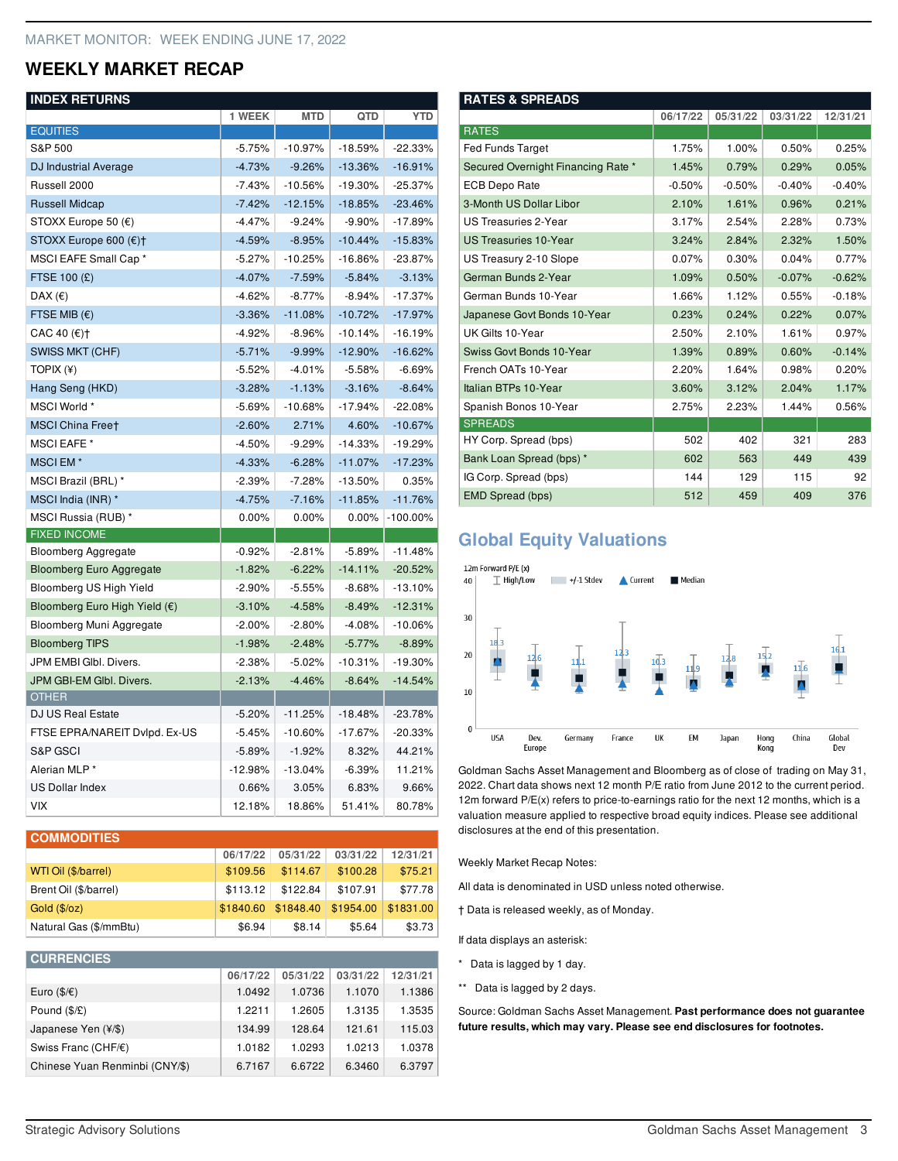### **WEEKLY MARKET RECAP**

### **INDEX RETURNS**

| 1126^1U                                | 1 WEEK    | <b>MTD</b> | QTD       | <b>YTD</b>  |
|----------------------------------------|-----------|------------|-----------|-------------|
| <b>EQUITIES</b>                        |           |            |           |             |
| S&P 500                                | $-5.75%$  | $-10.97%$  | $-18.59%$ | $-22.33\%$  |
| DJ Industrial Average                  | $-4.73%$  | $-9.26%$   | $-13.36%$ | $-16.91%$   |
| Russell 2000                           | $-7.43%$  | $-10.56%$  | $-19.30%$ | $-25.37%$   |
| <b>Russell Midcap</b>                  | $-7.42%$  | $-12.15%$  | $-18.85%$ | $-23.46%$   |
| STOXX Europe 50 (€)                    | $-4.47%$  | $-9.24%$   | $-9.90%$  | $-17.89%$   |
| STOXX Europe 600 (€)†                  | $-4.59%$  | $-8.95%$   | $-10.44%$ | $-15.83%$   |
| MSCI EAFE Small Cap *                  | $-5.27%$  | $-10.25%$  | $-16.86%$ | $-23.87%$   |
| <b>FTSE 100 (£)</b>                    | $-4.07\%$ | $-7.59%$   | $-5.84%$  | $-3.13%$    |
| DAX $(\epsilon)$                       | -4.62%    | $-8.77\%$  | $-8.94%$  | $-17.37%$   |
| FTSE MIB $(\epsilon)$                  | $-3.36%$  | $-11.08%$  | $-10.72%$ | $-17.97%$   |
| CAC 40 (€)†                            | $-4.92%$  | $-8.96%$   | $-10.14%$ | $-16.19%$   |
| SWISS MKT (CHF)                        | $-5.71%$  | $-9.99%$   | $-12.90%$ | $-16.62%$   |
| TOPIX (¥)                              | $-5.52%$  | $-4.01%$   | $-5.58%$  | $-6.69%$    |
| Hang Seng (HKD)                        | $-3.28%$  | $-1.13%$   | $-3.16%$  | $-8.64%$    |
| MSCI World *                           | $-5.69%$  | $-10.68%$  | $-17.94%$ | $-22.08%$   |
| <b>MSCI China Freet</b>                | $-2.60\%$ | 2.71%      | 4.60%     | $-10.67%$   |
| <b>MSCI EAFE</b> *                     | $-4.50%$  | $-9.29%$   | $-14.33%$ | $-19.29%$   |
| MSCIEM <sup>*</sup>                    | $-4.33%$  | $-6.28%$   | $-11.07%$ | $-17.23%$   |
| MSCI Brazil (BRL)*                     | $-2.39%$  | $-7.28%$   | $-13.50%$ | 0.35%       |
| MSCI India (INR) *                     | $-4.75%$  | $-7.16%$   | $-11.85%$ | $-11.76%$   |
| MSCI Russia (RUB) *                    | $0.00\%$  | 0.00%      | 0.00%     | $-100.00\%$ |
| <b>FIXED INCOME</b>                    |           |            |           |             |
| <b>Bloomberg Aggregate</b>             | $-0.92%$  | $-2.81%$   | $-5.89%$  | $-11.48%$   |
| <b>Bloomberg Euro Aggregate</b>        | $-1.82%$  | $-6.22%$   | $-14.11%$ | $-20.52%$   |
| Bloomberg US High Yield                | $-2.90\%$ | $-5.55%$   | $-8.68%$  | $-13.10%$   |
| Bloomberg Euro High Yield $(\epsilon)$ | $-3.10%$  | $-4.58%$   | $-8.49%$  | $-12.31%$   |
| Bloomberg Muni Aggregate               | $-2.00\%$ | $-2.80%$   | $-4.08%$  | $-10.06%$   |
| <b>Bloomberg TIPS</b>                  | $-1.98%$  | $-2.48%$   | $-5.77%$  | $-8.89%$    |
| JPM EMBI GIbl. Divers.                 | $-2.38%$  | $-5.02\%$  | $-10.31%$ | $-19.30%$   |
| JPM GBI-EM GIbl. Divers.               | $-2.13%$  | $-4.46%$   | $-8.64%$  | $-14.54%$   |
| <b>OTHER</b>                           |           |            |           |             |
| <b>DJ US Real Estate</b>               | $-5.20%$  | $-11.25%$  | $-18.48%$ | $-23.78%$   |
| FTSE EPRA/NAREIT Dvlpd. Ex-US          | $-5.45%$  | $-10.60\%$ | $-17.67%$ | $-20.33%$   |
| S&P GSCI                               | $-5.89%$  | $-1.92%$   | 8.32%     | 44.21%      |
| Alerian MLP*                           | $-12.98%$ | $-13.04%$  | $-6.39%$  | 11.21%      |
| <b>US Dollar Index</b>                 | 0.66%     | 3.05%      | 6.83%     | 9.66%       |
| <b>VIX</b>                             | 12.18%    | 18.86%     | 51.41%    | 80.78%      |

| <b>COMMODITIES</b>     |           |           |           |           |  |  |  |
|------------------------|-----------|-----------|-----------|-----------|--|--|--|
|                        | 06/17/22  | 05/31/22  | 03/31/22  | 12/31/21  |  |  |  |
| WTI Oil (\$/barrel)    | \$109.56  | \$114.67  | \$100.28  | \$75.21   |  |  |  |
| Brent Oil (\$/barrel)  | \$113.12  | \$122.84  | \$107.91  | \$77.78   |  |  |  |
| Gold (\$/oz)           | \$1840.60 | \$1848.40 | \$1954.00 | \$1831.00 |  |  |  |
| Natural Gas (\$/mmBtu) | \$6.94    | \$8.14    | \$5.64    | \$3.73    |  |  |  |

| <b>CURRENCIES</b>                 |          |          |          |          |
|-----------------------------------|----------|----------|----------|----------|
|                                   | 06/17/22 | 05/31/22 | 03/31/22 | 12/31/21 |
| Euro $(\frac{6}{5})\in$           | 1.0492   | 1.0736   | 1.1070   | 1.1386   |
| Pound (\$/£)                      | 1.2211   | 1.2605   | 1.3135   | 1.3535   |
| Japanese Yen (¥/\$)               | 134.99   | 128.64   | 121.61   | 115.03   |
| Swiss Franc (CHF/ $\varepsilon$ ) | 1.0182   | 1.0293   | 1.0213   | 1.0378   |
| Chinese Yuan Renminbi (CNY/\$)    | 6.7167   | 6.6722   | 6.3460   | 6.3797   |

| <b>RATES &amp; SPREADS</b>         |          |          |          |          |  |  |
|------------------------------------|----------|----------|----------|----------|--|--|
|                                    | 06/17/22 | 05/31/22 | 03/31/22 | 12/31/21 |  |  |
| <b>RATES</b>                       |          |          |          |          |  |  |
| <b>Fed Funds Target</b>            | 1.75%    | 1.00%    | 0.50%    | 0.25%    |  |  |
| Secured Overnight Financing Rate * | 1.45%    | 0.79%    | 0.29%    | 0.05%    |  |  |
| <b>ECB Depo Rate</b>               | $-0.50%$ | $-0.50%$ | $-0.40%$ | $-0.40%$ |  |  |
| 3-Month US Dollar Libor            | 2.10%    | 1.61%    | 0.96%    | 0.21%    |  |  |
| US Treasuries 2-Year               | 3.17%    | 2.54%    | 2.28%    | 0.73%    |  |  |
| <b>US Treasuries 10-Year</b>       | 3.24%    | 2.84%    | 2.32%    | 1.50%    |  |  |
| US Treasury 2-10 Slope             | 0.07%    | 0.30%    | 0.04%    | 0.77%    |  |  |
| German Bunds 2-Year                | 1.09%    | 0.50%    | $-0.07%$ | $-0.62%$ |  |  |
| German Bunds 10-Year               | 1.66%    | 1.12%    | 0.55%    | $-0.18%$ |  |  |
| Japanese Govt Bonds 10-Year        | 0.23%    | 0.24%    | 0.22%    | 0.07%    |  |  |
| UK Gilts 10-Year                   | 2.50%    | 2.10%    | 1.61%    | 0.97%    |  |  |
| Swiss Govt Bonds 10-Year           | 1.39%    | 0.89%    | 0.60%    | $-0.14%$ |  |  |
| French OATs 10-Year                | 2.20%    | 1.64%    | 0.98%    | 0.20%    |  |  |
| Italian BTPs 10-Year               | 3.60%    | 3.12%    | 2.04%    | 1.17%    |  |  |
| Spanish Bonos 10-Year              | 2.75%    | 2.23%    | 1.44%    | 0.56%    |  |  |
| <b>SPREADS</b>                     |          |          |          |          |  |  |
| HY Corp. Spread (bps)              | 502      | 402      | 321      | 283      |  |  |
| Bank Loan Spread (bps) *           | 602      | 563      | 449      | 439      |  |  |
| IG Corp. Spread (bps)              | 144      | 129      | 115      | 92       |  |  |
| <b>EMD Spread (bps)</b>            | 512      | 459      | 409      | 376      |  |  |

## **Global Equity Valuations**



Goldman Sachs Asset Management and Bloomberg as of close of trading on May 31, 2022. Chart data shows next 12 month P/E ratio from June 2012 to the current period. 12m forward P/E(x) refers to price-to-earnings ratio for the next 12 months, which is a valuation measure applied to respective broad equity indices. Please see additional disclosures at the end of this presentation.

Weekly Market Recap Notes:

All data is denominated in USD unless noted otherwise.

† Data is released weekly, as of Monday.

If data displays an asterisk:

- \* Data is lagged by 1 day.
- \*\* Data is lagged by 2 days.

Source: Goldman Sachs Asset Management. **Past performance does not guarantee future results, which may vary. Please see end disclosures for footnotes.**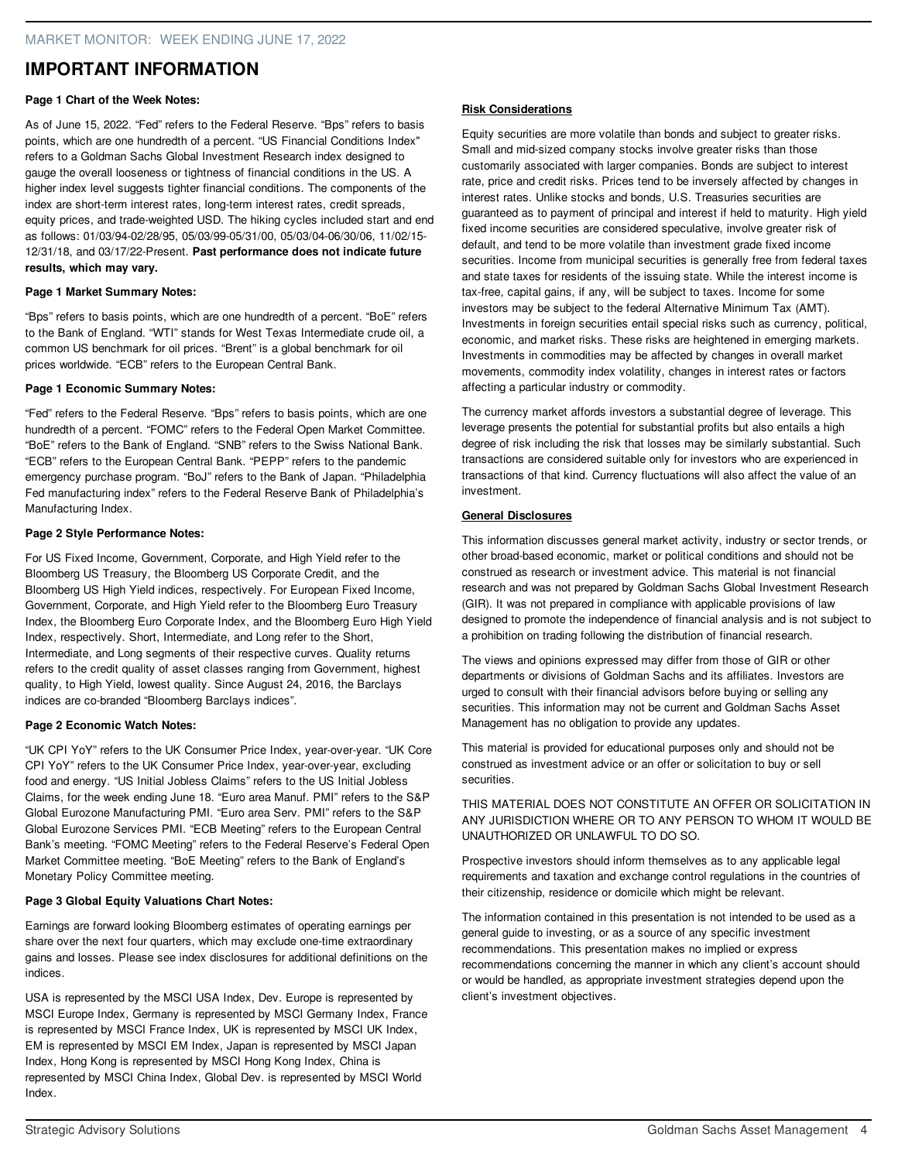### **IMPORTANT INFORMATION**

### **Page 1 Chart of the Week Notes:**

As of June 15, 2022. "Fed" refers to the Federal Reserve. "Bps" refers to basis points, which are one hundredth of a percent. "US Financial Conditions Index" refers to a Goldman Sachs Global Investment Research index designed to gauge the overall looseness or tightness of financial conditions in the US. A higher index level suggests tighter financial conditions. The components of the index are short-term interest rates, long-term interest rates, credit spreads, equity prices, and trade-weighted USD. The hiking cycles included start and end as follows: 01/03/94-02/28/95, 05/03/99-05/31/00, 05/03/04-06/30/06, 11/02/15- 12/31/18, and 03/17/22-Present. **Past performance does not indicate future results, which may vary.**

### **Page 1 Market Summary Notes:**

"Bps" refers to basis points, which are one hundredth of a percent. "BoE" refers to the Bank of England. "WTI" stands for West Texas Intermediate crude oil, a common US benchmark for oil prices. "Brent" is a global benchmark for oil prices worldwide. "ECB" refers to the European Central Bank.

### **Page 1 Economic Summary Notes:**

"Fed" refers to the Federal Reserve. "Bps" refers to basis points, which are one hundredth of a percent. "FOMC" refers to the Federal Open Market Committee. "BoE" refers to the Bank of England. "SNB" refers to the Swiss National Bank. "ECB" refers to the European Central Bank. "PEPP" refers to the pandemic emergency purchase program. "BoJ" refers to the Bank of Japan. "Philadelphia Fed manufacturing index" refers to the Federal Reserve Bank of Philadelphia's Manufacturing Index.

### **Page 2 Style Performance Notes:**

For US Fixed Income, Government, Corporate, and High Yield refer to the Bloomberg US Treasury, the Bloomberg US Corporate Credit, and the Bloomberg US High Yield indices, respectively. For European Fixed Income, Government, Corporate, and High Yield refer to the Bloomberg Euro Treasury Index, the Bloomberg Euro Corporate Index, and the Bloomberg Euro High Yield Index, respectively. Short, Intermediate, and Long refer to the Short, Intermediate, and Long segments of their respective curves. Quality returns refers to the credit quality of asset classes ranging from Government, highest quality, to High Yield, lowest quality. Since August 24, 2016, the Barclays indices are co-branded "Bloomberg Barclays indices".

### **Page 2 Economic Watch Notes:**

"UK CPI YoY" refers to the UK Consumer Price Index, year-over-year. "UK Core CPI YoY" refers to the UK Consumer Price Index, year-over-year, excluding food and energy. "US Initial Jobless Claims" refers to the US Initial Jobless Claims, for the week ending June 18. "Euro area Manuf. PMI" refers to the S&P Global Eurozone Manufacturing PMI. "Euro area Serv. PMI" refers to the S&P Global Eurozone Services PMI. "ECB Meeting" refers to the European Central Bank's meeting. "FOMC Meeting" refers to the Federal Reserve's Federal Open Market Committee meeting. "BoE Meeting" refers to the Bank of England's Monetary Policy Committee meeting.

### **Page 3 Global Equity Valuations Chart Notes:**

Earnings are forward looking Bloomberg estimates of operating earnings per share over the next four quarters, which may exclude one-time extraordinary gains and losses. Please see index disclosures for additional definitions on the indices.

USA is represented by the MSCI USA Index, Dev. Europe is represented by MSCI Europe Index, Germany is represented by MSCI Germany Index, France is represented by MSCI France Index, UK is represented by MSCI UK Index, EM is represented by MSCI EM Index, Japan is represented by MSCI Japan Index, Hong Kong is represented by MSCI Hong Kong Index, China is represented by MSCI China Index, Global Dev. is represented by MSCI World Index.

### **Risk Considerations**

Equity securities are more volatile than bonds and subject to greater risks. Small and mid-sized company stocks involve greater risks than those customarily associated with larger companies. Bonds are subject to interest rate, price and credit risks. Prices tend to be inversely affected by changes in interest rates. Unlike stocks and bonds, U.S. Treasuries securities are guaranteed as to payment of principal and interest if held to maturity. High yield fixed income securities are considered speculative, involve greater risk of default, and tend to be more volatile than investment grade fixed income securities. Income from municipal securities is generally free from federal taxes and state taxes for residents of the issuing state. While the interest income is tax-free, capital gains, if any, will be subject to taxes. Income for some investors may be subject to the federal Alternative Minimum Tax (AMT). Investments in foreign securities entail special risks such as currency, political, economic, and market risks. These risks are heightened in emerging markets. Investments in commodities may be affected by changes in overall market movements, commodity index volatility, changes in interest rates or factors affecting a particular industry or commodity.

The currency market affords investors a substantial degree of leverage. This leverage presents the potential for substantial profits but also entails a high degree of risk including the risk that losses may be similarly substantial. Such transactions are considered suitable only for investors who are experienced in transactions of that kind. Currency fluctuations will also affect the value of an investment.

### **General Disclosures**

This information discusses general market activity, industry or sector trends, or other broad-based economic, market or political conditions and should not be construed as research or investment advice. This material is not financial research and was not prepared by Goldman Sachs Global Investment Research (GIR). It was not prepared in compliance with applicable provisions of law designed to promote the independence of financial analysis and is not subject to a prohibition on trading following the distribution of financial research.

The views and opinions expressed may differ from those of GIR or other departments or divisions of Goldman Sachs and its affiliates. Investors are urged to consult with their financial advisors before buying or selling any securities. This information may not be current and Goldman Sachs Asset Management has no obligation to provide any updates.

This material is provided for educational purposes only and should not be construed as investment advice or an offer or solicitation to buy or sell securities.

THIS MATERIAL DOES NOT CONSTITUTE AN OFFER OR SOLICITATION IN ANY JURISDICTION WHERE OR TO ANY PERSON TO WHOM IT WOULD BE UNAUTHORIZED OR UNLAWFUL TO DO SO.

Prospective investors should inform themselves as to any applicable legal requirements and taxation and exchange control regulations in the countries of their citizenship, residence or domicile which might be relevant.

The information contained in this presentation is not intended to be used as a general guide to investing, or as a source of any specific investment recommendations. This presentation makes no implied or express recommendations concerning the manner in which any client's account should or would be handled, as appropriate investment strategies depend upon the client's investment objectives.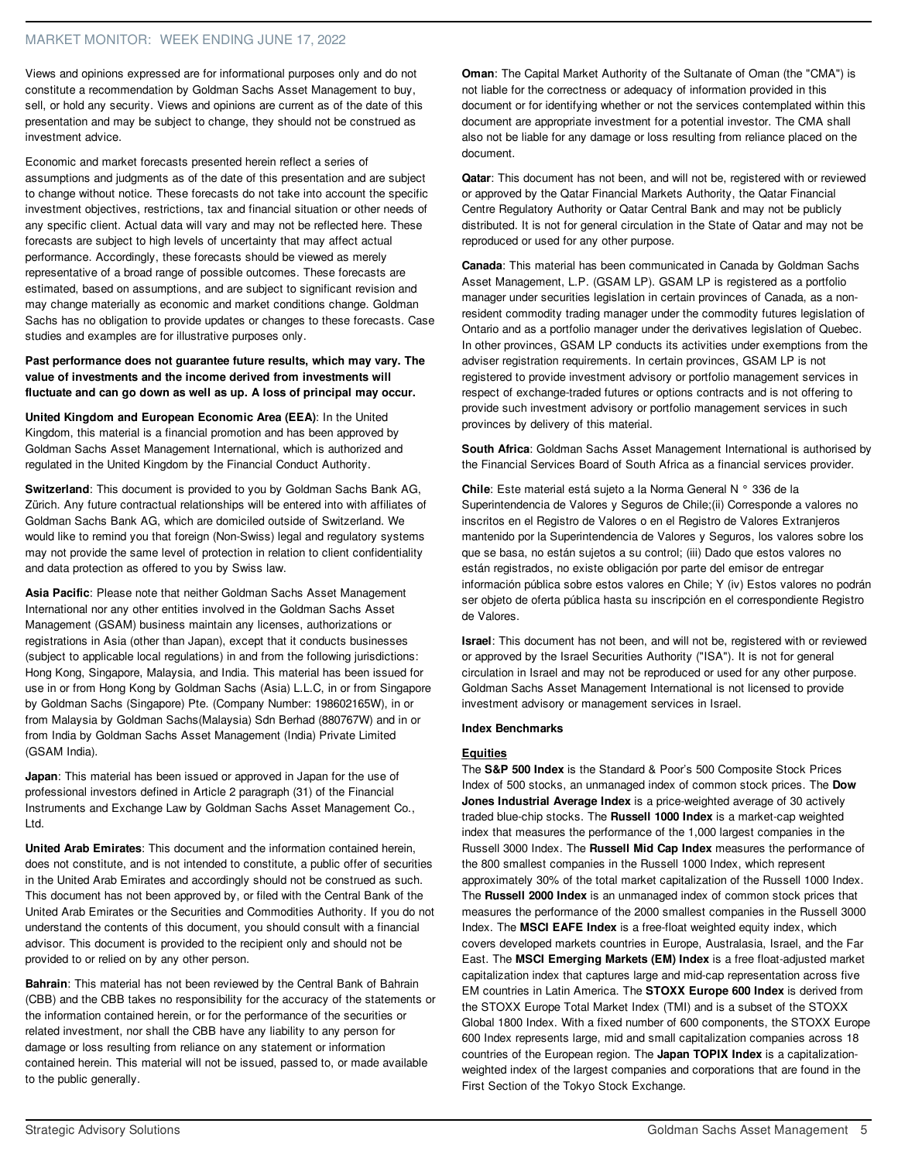Views and opinions expressed are for informational purposes only and do not constitute a recommendation by Goldman Sachs Asset Management to buy, sell, or hold any security. Views and opinions are current as of the date of this presentation and may be subject to change, they should not be construed as investment advice.

Economic and market forecasts presented herein reflect a series of assumptions and judgments as of the date of this presentation and are subject to change without notice. These forecasts do not take into account the specific investment objectives, restrictions, tax and financial situation or other needs of any specific client. Actual data will vary and may not be reflected here. These forecasts are subject to high levels of uncertainty that may affect actual performance. Accordingly, these forecasts should be viewed as merely representative of a broad range of possible outcomes. These forecasts are estimated, based on assumptions, and are subject to significant revision and may change materially as economic and market conditions change. Goldman Sachs has no obligation to provide updates or changes to these forecasts. Case studies and examples are for illustrative purposes only.

**Past performance does not guarantee future results, which may vary. The value of investments and the income derived from investments will fluctuate and can go down as well as up. A loss of principal may occur.**

**United Kingdom and European Economic Area (EEA)**: In the United Kingdom, this material is a financial promotion and has been approved by Goldman Sachs Asset Management International, which is authorized and regulated in the United Kingdom by the Financial Conduct Authority.

**Switzerland**: This document is provided to you by Goldman Sachs Bank AG, Zürich. Any future contractual relationships will be entered into with affiliates of Goldman Sachs Bank AG, which are domiciled outside of Switzerland. We would like to remind you that foreign (Non-Swiss) legal and regulatory systems may not provide the same level of protection in relation to client confidentiality and data protection as offered to you by Swiss law.

**Asia Pacific**: Please note that neither Goldman Sachs Asset Management International nor any other entities involved in the Goldman Sachs Asset Management (GSAM) business maintain any licenses, authorizations or registrations in Asia (other than Japan), except that it conducts businesses (subject to applicable local regulations) in and from the following jurisdictions: Hong Kong, Singapore, Malaysia, and India. This material has been issued for use in or from Hong Kong by Goldman Sachs (Asia) L.L.C, in or from Singapore by Goldman Sachs (Singapore) Pte. (Company Number: 198602165W), in or from Malaysia by Goldman Sachs(Malaysia) Sdn Berhad (880767W) and in or from India by Goldman Sachs Asset Management (India) Private Limited (GSAM India).

**Japan**: This material has been issued or approved in Japan for the use of professional investors defined in Article 2 paragraph (31) of the Financial Instruments and Exchange Law by Goldman Sachs Asset Management Co., Ltd.

**United Arab Emirates**: This document and the information contained herein, does not constitute, and is not intended to constitute, a public offer of securities in the United Arab Emirates and accordingly should not be construed as such. This document has not been approved by, or filed with the Central Bank of the United Arab Emirates or the Securities and Commodities Authority. If you do not understand the contents of this document, you should consult with a financial advisor. This document is provided to the recipient only and should not be provided to or relied on by any other person.

**Bahrain**: This material has not been reviewed by the Central Bank of Bahrain (CBB) and the CBB takes no responsibility for the accuracy of the statements or the information contained herein, or for the performance of the securities or related investment, nor shall the CBB have any liability to any person for damage or loss resulting from reliance on any statement or information contained herein. This material will not be issued, passed to, or made available to the public generally.

**Oman**: The Capital Market Authority of the Sultanate of Oman (the "CMA") is not liable for the correctness or adequacy of information provided in this document or for identifying whether or not the services contemplated within this document are appropriate investment for a potential investor. The CMA shall also not be liable for any damage or loss resulting from reliance placed on the document.

**Qatar**: This document has not been, and will not be, registered with or reviewed or approved by the Qatar Financial Markets Authority, the Qatar Financial Centre Regulatory Authority or Qatar Central Bank and may not be publicly distributed. It is not for general circulation in the State of Qatar and may not be reproduced or used for any other purpose.

**Canada**: This material has been communicated in Canada by Goldman Sachs Asset Management, L.P. (GSAM LP). GSAM LP is registered as a portfolio manager under securities legislation in certain provinces of Canada, as a nonresident commodity trading manager under the commodity futures legislation of Ontario and as a portfolio manager under the derivatives legislation of Quebec. In other provinces, GSAM LP conducts its activities under exemptions from the adviser registration requirements. In certain provinces, GSAM LP is not registered to provide investment advisory or portfolio management services in respect of exchange-traded futures or options contracts and is not offering to provide such investment advisory or portfolio management services in such provinces by delivery of this material.

**South Africa**: Goldman Sachs Asset Management International is authorised by the Financial Services Board of South Africa as a financial services provider.

**Chile**: Este material está sujeto a la Norma General N ° 336 de la Superintendencia de Valores y Seguros de Chile;(ii) Corresponde a valores no inscritos en el Registro de Valores o en el Registro de Valores Extranjeros mantenido por la Superintendencia de Valores y Seguros, los valores sobre los que se basa, no están sujetos a su control; (iii) Dado que estos valores no están registrados, no existe obligación por parte del emisor de entregar información pública sobre estos valores en Chile; Y (iv) Estos valores no podrán ser objeto de oferta pública hasta su inscripción en el correspondiente Registro de Valores.

**Israel**: This document has not been, and will not be, registered with or reviewed or approved by the Israel Securities Authority ("ISA"). It is not for general circulation in Israel and may not be reproduced or used for any other purpose. Goldman Sachs Asset Management International is not licensed to provide investment advisory or management services in Israel.

#### **Index Benchmarks**

### **Equities**

The **S&P 500 Index** is the Standard & Poor's 500 Composite Stock Prices Index of 500 stocks, an unmanaged index of common stock prices. The **Dow Jones Industrial Average Index** is a price-weighted average of 30 actively traded blue-chip stocks. The **Russell 1000 Index** is a market-cap weighted index that measures the performance of the 1,000 largest companies in the Russell 3000 Index. The **Russell Mid Cap Index** measures the performance of the 800 smallest companies in the Russell 1000 Index, which represent approximately 30% of the total market capitalization of the Russell 1000 Index. The **Russell 2000 Index** is an unmanaged index of common stock prices that measures the performance of the 2000 smallest companies in the Russell 3000 Index. The **MSCI EAFE Index** is a free-float weighted equity index, which covers developed markets countries in Europe, Australasia, Israel, and the Far East. The **MSCI Emerging Markets (EM) Index** is a free float-adjusted market capitalization index that captures large and mid-cap representation across five EM countries in Latin America. The **STOXX Europe 600 Index** is derived from the STOXX Europe Total Market Index (TMI) and is a subset of the STOXX Global 1800 Index. With a fixed number of 600 components, the STOXX Europe 600 Index represents large, mid and small capitalization companies across 18 countries of the European region. The **Japan TOPIX Index** is a capitalizationweighted index of the largest companies and corporations that are found in the First Section of the Tokyo Stock Exchange.